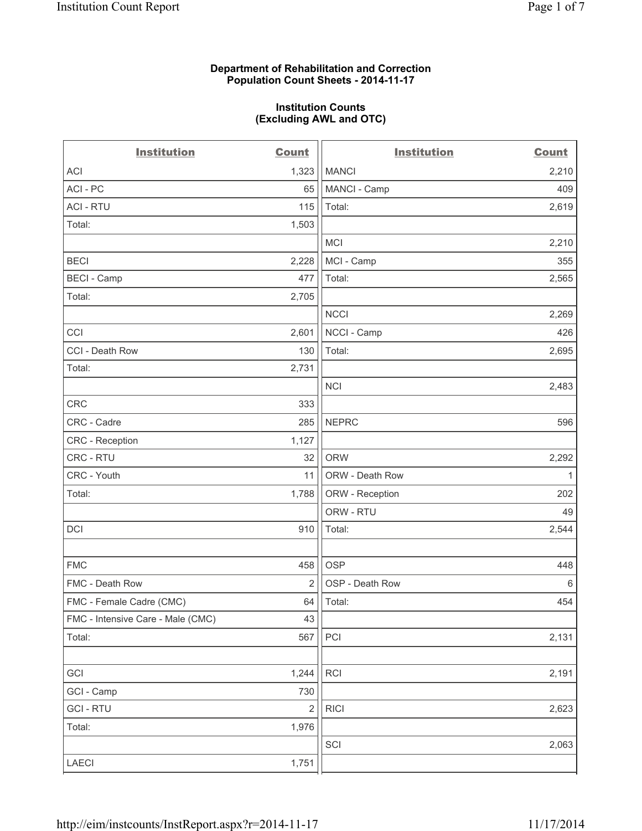#### **Department of Rehabilitation and Correction Population Count Sheets - 2014-11-17**

#### **Institution Counts (Excluding AWL and OTC)**

| <b>Institution</b>                | <b>Count</b>   | <b>Institution</b> | <b>Count</b> |
|-----------------------------------|----------------|--------------------|--------------|
| <b>ACI</b>                        | 1,323          | <b>MANCI</b>       | 2,210        |
| ACI - PC                          | 65             | MANCI - Camp       | 409          |
| <b>ACI - RTU</b>                  | 115            | Total:             | 2,619        |
| Total:                            | 1,503          |                    |              |
|                                   |                | <b>MCI</b>         | 2,210        |
| <b>BECI</b>                       | 2,228          | MCI - Camp         | 355          |
| <b>BECI - Camp</b>                | 477            | Total:             | 2,565        |
| Total:                            | 2,705          |                    |              |
|                                   |                | <b>NCCI</b>        | 2,269        |
| CCI                               | 2,601          | NCCI - Camp        | 426          |
| CCI - Death Row                   | 130            | Total:             | 2,695        |
| Total:                            | 2,731          |                    |              |
|                                   |                | <b>NCI</b>         | 2,483        |
| CRC                               | 333            |                    |              |
| CRC - Cadre                       | 285            | <b>NEPRC</b>       | 596          |
| CRC - Reception                   | 1,127          |                    |              |
| CRC - RTU                         | 32             | <b>ORW</b>         | 2,292        |
| CRC - Youth                       | 11             | ORW - Death Row    | $\mathbf{1}$ |
| Total:                            | 1,788          | ORW - Reception    | 202          |
|                                   |                | ORW - RTU          | 49           |
| DCI                               | 910            | Total:             | 2,544        |
|                                   |                |                    |              |
| <b>FMC</b>                        | 458            | <b>OSP</b>         | 448          |
| FMC - Death Row                   | $\overline{2}$ | OSP - Death Row    | $\,6\,$      |
| FMC - Female Cadre (CMC)          | 64             | Total:             | 454          |
| FMC - Intensive Care - Male (CMC) | 43             |                    |              |
| Total:                            | 567            | PCI                | 2,131        |
|                                   |                |                    |              |
| GCI                               | 1,244          | RCI                | 2,191        |
| GCI - Camp                        | 730            |                    |              |
| <b>GCI - RTU</b>                  | $\overline{2}$ | R C                | 2,623        |
| Total:                            | 1,976          |                    |              |
|                                   |                | SCI                | 2,063        |
| LAECI                             | 1,751          |                    |              |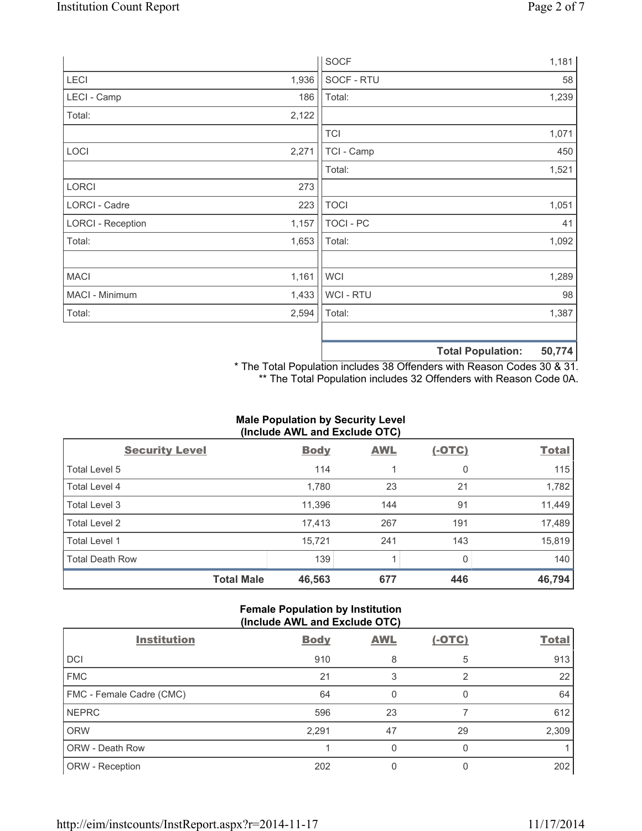|                          |       | <b>SOCF</b>      |                          | 1,181  |
|--------------------------|-------|------------------|--------------------------|--------|
| LECI                     | 1,936 | SOCF - RTU       |                          | 58     |
| LECI - Camp              | 186   | Total:           |                          | 1,239  |
| Total:                   | 2,122 |                  |                          |        |
|                          |       | <b>TCI</b>       |                          | 1,071  |
| LOCI                     | 2,271 | TCI - Camp       |                          | 450    |
|                          |       | Total:           |                          | 1,521  |
| <b>LORCI</b>             | 273   |                  |                          |        |
| LORCI - Cadre            | 223   | <b>TOCI</b>      |                          | 1,051  |
| <b>LORCI - Reception</b> | 1,157 | <b>TOCI - PC</b> |                          | 41     |
| Total:                   | 1,653 | Total:           |                          | 1,092  |
|                          |       |                  |                          |        |
| <b>MACI</b>              | 1,161 | <b>WCI</b>       |                          | 1,289  |
| MACI - Minimum           | 1,433 | WCI - RTU        |                          | 98     |
| Total:                   | 2,594 | Total:           |                          | 1,387  |
|                          |       |                  |                          |        |
|                          |       |                  | <b>Total Population:</b> | 50,774 |

\* The Total Population includes 38 Offenders with Reason Codes 30 & 31. \*\* The Total Population includes 32 Offenders with Reason Code 0A.

# **Male Population by Security Level (Include AWL and Exclude OTC)**

| <b>Security Level</b>  | <b>Body</b> | <b>AWL</b> | <u>(-OTC)</u> | <b>Total</b> |
|------------------------|-------------|------------|---------------|--------------|
| Total Level 5          | 114         |            | 0             | 115          |
| Total Level 4          | 1,780       | 23         | 21            | 1,782        |
| Total Level 3          | 11,396      | 144        | 91            | 11,449       |
| Total Level 2          | 17,413      | 267        | 191           | 17,489       |
| Total Level 1          | 15,721      | 241        | 143           | 15,819       |
| <b>Total Death Row</b> | 139         | 1          | 0             | 140          |
| <b>Total Male</b>      | 46,563      | 677        | 446           | 46,794       |

## **Female Population by Institution (Include AWL and Exclude OTC)**

| <b>Institution</b>       | <b>Body</b> | <b>AWL</b>   | $(-OTC)$ | <b>Total</b> |
|--------------------------|-------------|--------------|----------|--------------|
| <b>DCI</b>               | 910         | 8            | 5        | 913          |
| <b>FMC</b>               | 21          | 3            | 2        | 22           |
| FMC - Female Cadre (CMC) | 64          | $\mathbf{0}$ | 0        | 64           |
| <b>NEPRC</b>             | 596         | 23           |          | 612          |
| <b>ORW</b>               | 2,291       | 47           | 29       | 2,309        |
| <b>ORW - Death Row</b>   |             | 0            |          |              |
| ORW - Reception          | 202         |              |          | 202          |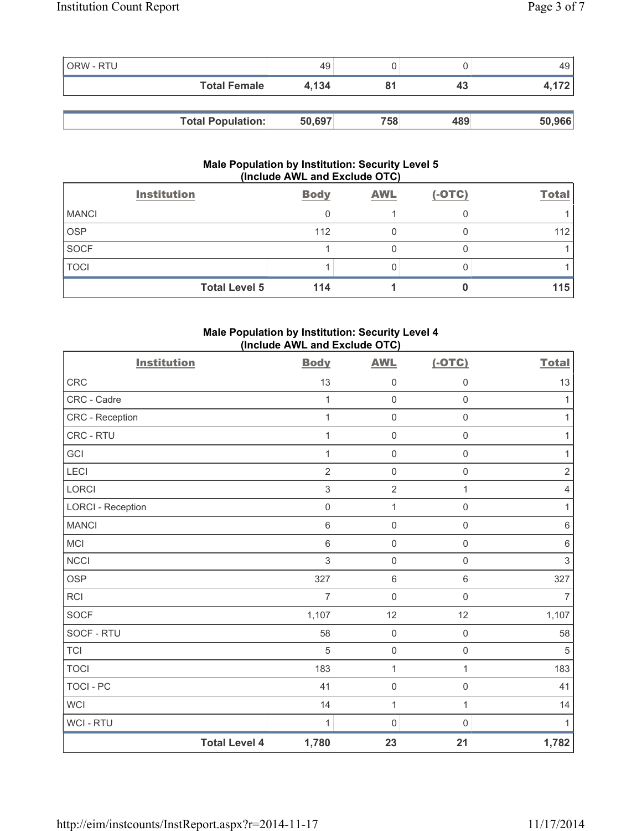| <b>ORW - RTU</b> |                          | 49     |     |     | 49     |
|------------------|--------------------------|--------|-----|-----|--------|
|                  | <b>Total Female</b>      | 4.134  |     | 43  | 4,172  |
|                  |                          |        |     |     |        |
|                  | <b>Total Population:</b> | 50,697 | 758 | 489 | 50,966 |

#### **Male Population by Institution: Security Level 5 (Include AWL and Exclude OTC)**

|              | <b>Institution</b>   | <b>Body</b> | <b>AWL</b> | $(-OTC)$ | <b>Total</b> |
|--------------|----------------------|-------------|------------|----------|--------------|
| <b>MANCI</b> |                      |             |            |          |              |
| <b>OSP</b>   |                      | 112         |            |          | 112          |
| SOCF         |                      |             |            |          |              |
| <b>TOCI</b>  |                      |             |            |          |              |
|              | <b>Total Level 5</b> | 114         |            |          | 115          |

# **Male Population by Institution: Security Level 4 (Include AWL and Exclude OTC)**

| <b>Institution</b>       |                      | <b>Body</b>    | <b>AWL</b>          | $(-OTC)$            | <b>Total</b>   |
|--------------------------|----------------------|----------------|---------------------|---------------------|----------------|
| CRC                      |                      | 13             | $\mathsf 0$         | 0                   | 13             |
| CRC - Cadre              |                      | 1              | $\mathbf 0$         | $\mathsf{O}\xspace$ | $\mathbf{1}$   |
| CRC - Reception          |                      | 1              | $\mathbf 0$         | $\mathsf{O}\xspace$ | 1              |
| CRC - RTU                |                      | 1              | $\mathbf 0$         | $\mathsf{O}\xspace$ | 1              |
| GCI                      |                      | 1              | $\mathbf 0$         | $\mathsf{O}\xspace$ | $\mathbf{1}$   |
| LECI                     |                      | $\overline{2}$ | $\mathsf{O}\xspace$ | $\mathsf{O}\xspace$ | $\sqrt{2}$     |
| <b>LORCI</b>             |                      | 3              | $\overline{2}$      | 1                   | $\overline{4}$ |
| <b>LORCI - Reception</b> |                      | $\mathbf 0$    | $\mathbf{1}$        | $\mathsf{O}\xspace$ | $\mathbf{1}$   |
| <b>MANCI</b>             |                      | $\,6$          | $\mathbf 0$         | $\mathsf 0$         | $\,6\,$        |
| <b>MCI</b>               |                      | $\,6$          | $\mathsf{O}\xspace$ | $\mathsf{O}\xspace$ | $\,6\,$        |
| <b>NCCI</b>              |                      | 3              | $\mathbf 0$         | $\mathbf 0$         | $\mathfrak{S}$ |
| <b>OSP</b>               |                      | 327            | $\,6\,$             | 6                   | 327            |
| RCI                      |                      | $\overline{7}$ | $\mathbf 0$         | $\mathsf{O}\xspace$ | $\overline{7}$ |
| <b>SOCF</b>              |                      | 1,107          | 12                  | 12                  | 1,107          |
| SOCF - RTU               |                      | 58             | $\mathbf 0$         | $\mathsf 0$         | 58             |
| <b>TCI</b>               |                      | 5              | $\mathbf 0$         | $\mathsf{O}\xspace$ | $\overline{5}$ |
| <b>TOCI</b>              |                      | 183            | $\mathbf{1}$        | $\mathbf{1}$        | 183            |
| <b>TOCI - PC</b>         |                      | 41             | $\mathbf 0$         | $\mathsf 0$         | 41             |
| WCI                      |                      | 14             | $\mathbf{1}$        | $\mathbf{1}$        | 14             |
| WCI - RTU                |                      | 1              | 0                   | 0                   | 1              |
|                          | <b>Total Level 4</b> | 1,780          | 23                  | 21                  | 1,782          |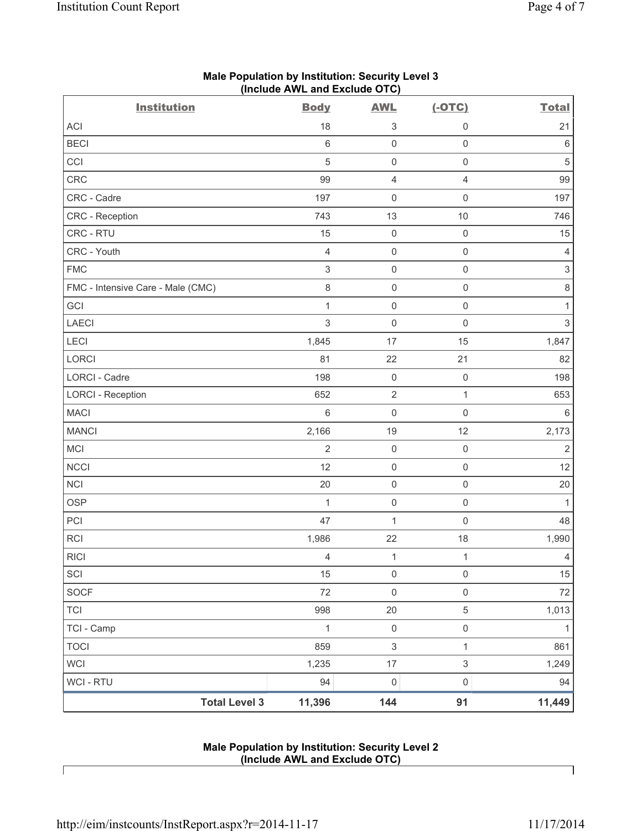| <b>Institution</b>                | <b>Body</b>    | <b>AWL</b>          | $(-OTC)$            | <b>Total</b>              |
|-----------------------------------|----------------|---------------------|---------------------|---------------------------|
| <b>ACI</b>                        | 18             | 3                   | $\mathbf 0$         | 21                        |
| <b>BECI</b>                       | $\,6\,$        | $\mathsf{O}\xspace$ | $\mathsf 0$         | $\,6\,$                   |
| CCI                               | $\overline{5}$ | $\mathsf{O}\xspace$ | $\mathsf 0$         | $\sqrt{5}$                |
| CRC                               | 99             | 4                   | $\overline{4}$      | 99                        |
| CRC - Cadre                       | 197            | $\mathsf{O}\xspace$ | $\mathsf 0$         | 197                       |
| CRC - Reception                   | 743            | 13                  | 10                  | 746                       |
| CRC - RTU                         | 15             | $\mathsf 0$         | $\mathsf 0$         | 15                        |
| CRC - Youth                       | $\overline{4}$ | $\mathsf{O}\xspace$ | $\mathsf 0$         | $\overline{4}$            |
| <b>FMC</b>                        | $\sqrt{3}$     | $\mathsf{O}\xspace$ | $\mathsf 0$         | $\ensuremath{\mathsf{3}}$ |
| FMC - Intensive Care - Male (CMC) | $\,8\,$        | $\mathsf{O}\xspace$ | $\mathbf 0$         | $\,8\,$                   |
| GCI                               | $\mathbf{1}$   | 0                   | $\mathsf 0$         | $\mathbf{1}$              |
| <b>LAECI</b>                      | $\mathfrak{S}$ | $\mathsf{O}\xspace$ | $\mathsf 0$         | $\mathsf 3$               |
| LECI                              | 1,845          | 17                  | 15                  | 1,847                     |
| <b>LORCI</b>                      | 81             | 22                  | 21                  | 82                        |
| LORCI - Cadre                     | 198            | $\mathsf 0$         | $\mathsf 0$         | 198                       |
| <b>LORCI - Reception</b>          | 652            | $\mathbf 2$         | $\mathbf{1}$        | 653                       |
| <b>MACI</b>                       | $\,6$          | 0                   | $\mathsf 0$         | $\,6\,$                   |
| <b>MANCI</b>                      | 2,166          | 19                  | 12                  | 2,173                     |
| MCI                               | $\overline{2}$ | $\mathsf 0$         | $\mathsf 0$         | $\sqrt{2}$                |
| <b>NCCI</b>                       | 12             | $\mathsf 0$         | $\mathsf 0$         | 12                        |
| <b>NCI</b>                        | 20             | $\mathsf{O}\xspace$ | $\mathsf{O}\xspace$ | 20                        |
| <b>OSP</b>                        | $\mathbf{1}$   | $\mathsf{O}\xspace$ | $\mathsf 0$         | $\mathbf{1}$              |
| PCI                               | 47             | $\mathbf{1}$        | $\mathsf 0$         | 48                        |
| RCI                               | 1,986          | 22                  | 18                  | 1,990                     |
| <b>RICI</b>                       | 4              | $\mathbf{1}$        | $\mathbf{1}$        | $\overline{4}$            |
| SCI                               | 15             | $\mathsf 0$         | $\mathsf{O}\xspace$ | 15                        |
| SOCF                              | 72             | $\mathsf{O}\xspace$ | $\mathsf{O}\xspace$ | 72                        |
| <b>TCI</b>                        | 998            | 20                  | $\,$ 5 $\,$         | 1,013                     |
| TCI - Camp                        | $\mathbf{1}$   | $\mathsf{O}\xspace$ | $\mathsf{O}\xspace$ | $\mathbf{1}$              |
| <b>TOCI</b>                       | 859            | $\,$ 3 $\,$         | $\mathbf{1}$        | 861                       |
| <b>WCI</b>                        | 1,235          | $17\,$              | $\mathfrak{S}$      | 1,249                     |
| WCI - RTU                         | 94             | $\mathsf{O}\xspace$ | $\mathsf{O}\xspace$ | 94                        |
| <b>Total Level 3</b>              | 11,396         | 144                 | 91                  | 11,449                    |

# **Male Population by Institution: Security Level 3 (Include AWL and Exclude OTC)**

### **Male Population by Institution: Security Level 2 (Include AWL and Exclude OTC)**

Г

٦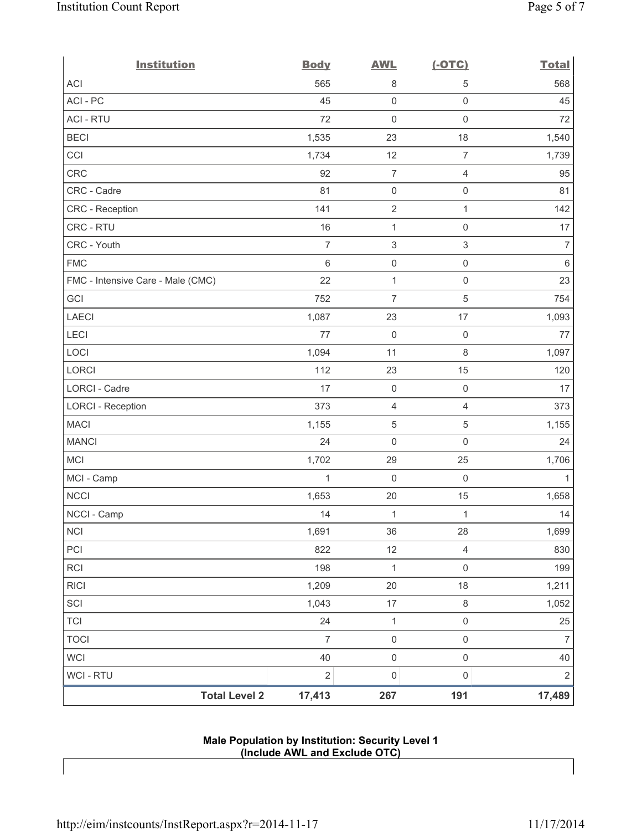| <b>Institution</b>                | <b>Body</b>    | <b>AWL</b>          | $(-OTC)$            | <b>Total</b>   |
|-----------------------------------|----------------|---------------------|---------------------|----------------|
| <b>ACI</b>                        | 565            | 8                   | 5                   | 568            |
| ACI-PC                            | 45             | $\mathbf 0$         | $\mathsf 0$         | 45             |
| <b>ACI - RTU</b>                  | 72             | 0                   | $\mathsf{O}\xspace$ | 72             |
| <b>BECI</b>                       | 1,535          | 23                  | 18                  | 1,540          |
| CCI                               | 1,734          | 12                  | $\overline{7}$      | 1,739          |
| CRC                               | 92             | $\overline{7}$      | $\overline{4}$      | 95             |
| CRC - Cadre                       | 81             | $\mathsf{O}\xspace$ | $\mathsf 0$         | 81             |
| CRC - Reception                   | 141            | $\sqrt{2}$          | $\mathbf{1}$        | 142            |
| CRC - RTU                         | 16             | 1                   | $\mathsf{O}\xspace$ | 17             |
| CRC - Youth                       | $\overline{7}$ | $\,$ 3 $\,$         | $\mathsf 3$         | $\overline{7}$ |
| <b>FMC</b>                        | $6\phantom{1}$ | $\mathsf{O}\xspace$ | $\mathsf 0$         | $\,6\,$        |
| FMC - Intensive Care - Male (CMC) | 22             | $\mathbf{1}$        | $\mathsf{O}\xspace$ | 23             |
| GCI                               | 752            | $\overline{7}$      | 5                   | 754            |
| <b>LAECI</b>                      | 1,087          | 23                  | 17                  | 1,093          |
| LECI                              | 77             | 0                   | $\mathsf{O}\xspace$ | 77             |
| LOCI                              | 1,094          | 11                  | $\,8\,$             | 1,097          |
| LORCI                             | 112            | 23                  | 15                  | 120            |
| LORCI - Cadre                     | 17             | 0                   | $\mathsf 0$         | 17             |
| <b>LORCI - Reception</b>          | 373            | 4                   | $\overline{4}$      | 373            |
| <b>MACI</b>                       | 1,155          | $\sqrt{5}$          | 5                   | 1,155          |
| <b>MANCI</b>                      | 24             | $\mathsf{O}\xspace$ | $\mathsf{O}\xspace$ | 24             |
| MCI                               | 1,702          | 29                  | 25                  | 1,706          |
| MCI - Camp                        | 1              | 0                   | $\mathsf{O}\xspace$ | 1              |
| <b>NCCI</b>                       | 1,653          | 20                  | 15                  | 1,658          |
| NCCI - Camp                       | 14             | $\mathbf 1$         | $\mathbf{1}$        | 14             |
| $\sf NCI$                         | 1,691          | 36                  | 28                  | 1,699          |
| PCI                               | 822            | 12                  | $\overline{4}$      | 830            |
| <b>RCI</b>                        | 198            | $\mathbf 1$         | $\mathsf 0$         | 199            |
| <b>RICI</b>                       | 1,209          | 20                  | 18                  | 1,211          |
| SCI                               | 1,043          | $17\,$              | $\,8\,$             | 1,052          |
| <b>TCI</b>                        | 24             | $\mathbf 1$         | $\mathsf 0$         | 25             |
| <b>TOCI</b>                       | $\overline{7}$ | $\mathsf{O}\xspace$ | $\mathsf 0$         | $\overline{7}$ |
| <b>WCI</b>                        | 40             | $\mathsf{O}\xspace$ | $\mathsf{O}\xspace$ | 40             |
| WCI - RTU                         | $\overline{2}$ | $\mathsf{O}\xspace$ | $\mathsf 0$         | $\sqrt{2}$     |
| <b>Total Level 2</b>              | 17,413         | 267                 | 191                 | 17,489         |

### **Male Population by Institution: Security Level 1 (Include AWL and Exclude OTC)**